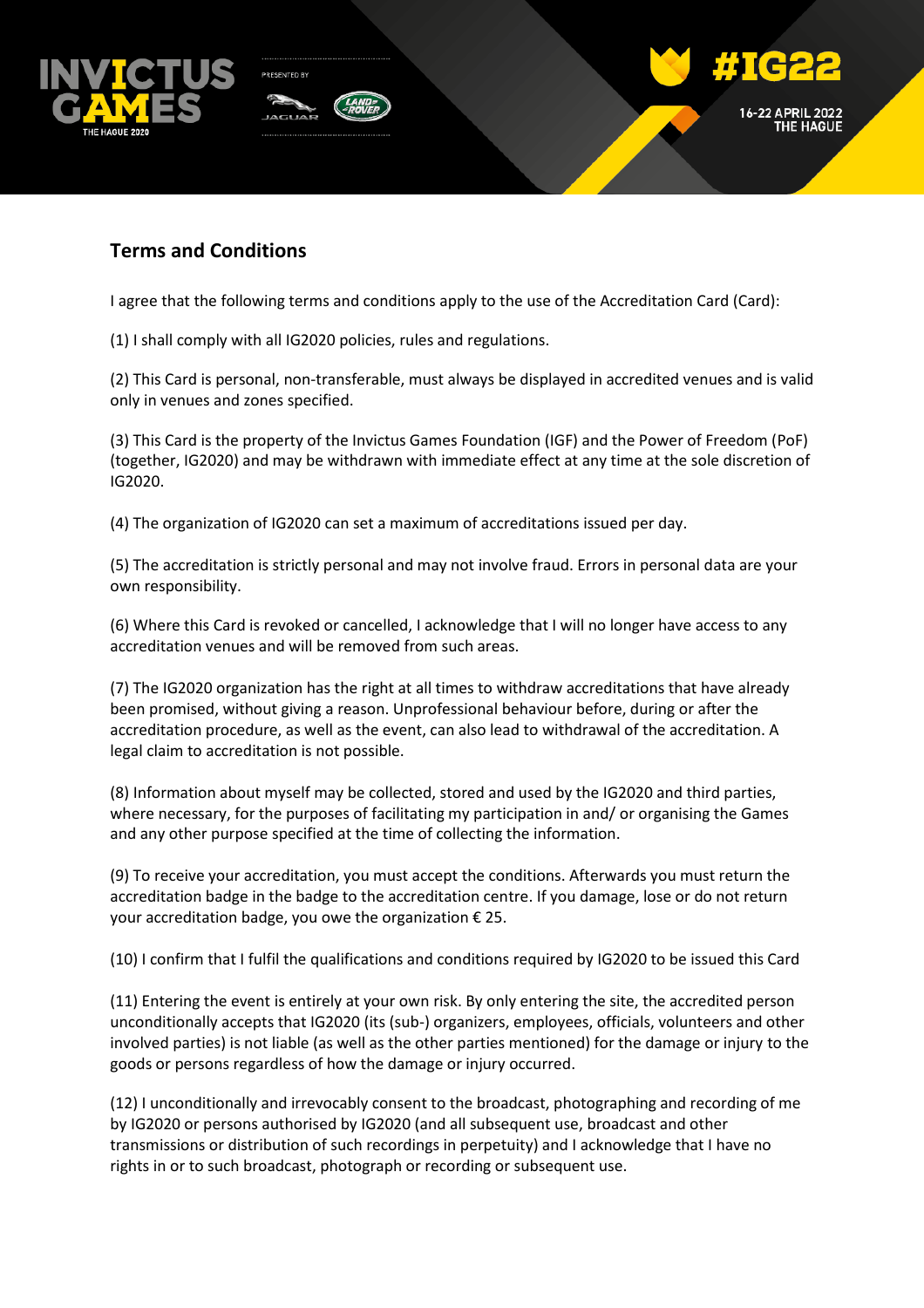

## **Terms and Conditions**

I agree that the following terms and conditions apply to the use of the Accreditation Card (Card):

(1) I shall comply with all IG2020 policies, rules and regulations.

(2) This Card is personal, non-transferable, must always be displayed in accredited venues and is valid only in venues and zones specified.

(3) This Card is the property of the Invictus Games Foundation (IGF) and the Power of Freedom (PoF) (together, IG2020) and may be withdrawn with immediate effect at any time at the sole discretion of IG2020.

(4) The organization of IG2020 can set a maximum of accreditations issued per day.

(5) The accreditation is strictly personal and may not involve fraud. Errors in personal data are your own responsibility.

(6) Where this Card is revoked or cancelled, I acknowledge that I will no longer have access to any accreditation venues and will be removed from such areas.

(7) The IG2020 organization has the right at all times to withdraw accreditations that have already been promised, without giving a reason. Unprofessional behaviour before, during or after the accreditation procedure, as well as the event, can also lead to withdrawal of the accreditation. A legal claim to accreditation is not possible.

(8) Information about myself may be collected, stored and used by the IG2020 and third parties, where necessary, for the purposes of facilitating my participation in and/ or organising the Games and any other purpose specified at the time of collecting the information.

(9) To receive your accreditation, you must accept the conditions. Afterwards you must return the accreditation badge in the badge to the accreditation centre. If you damage, lose or do not return your accreditation badge, you owe the organization  $\epsilon$  25.

(10) I confirm that I fulfil the qualifications and conditions required by IG2020 to be issued this Card

(11) Entering the event is entirely at your own risk. By only entering the site, the accredited person unconditionally accepts that IG2020 (its (sub-) organizers, employees, officials, volunteers and other involved parties) is not liable (as well as the other parties mentioned) for the damage or injury to the goods or persons regardless of how the damage or injury occurred.

(12) I unconditionally and irrevocably consent to the broadcast, photographing and recording of me by IG2020 or persons authorised by IG2020 (and all subsequent use, broadcast and other transmissions or distribution of such recordings in perpetuity) and I acknowledge that I have no rights in or to such broadcast, photograph or recording or subsequent use.